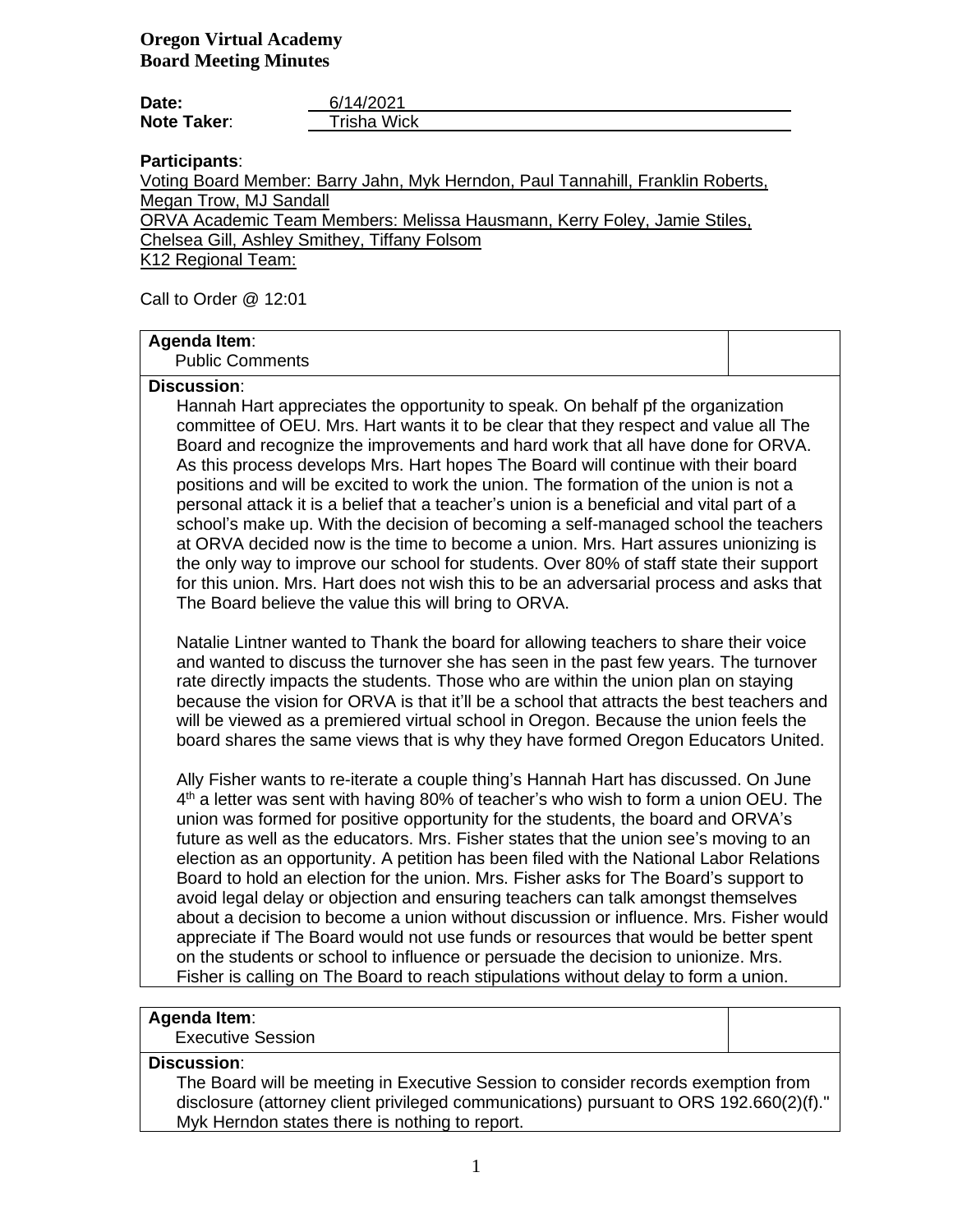| Date:              | 6/14/2021   |
|--------------------|-------------|
| <b>Note Taker:</b> | Trisha Wick |

**Participants**:

Voting Board Member: Barry Jahn, Myk Herndon, Paul Tannahill, Franklin Roberts, Megan Trow, MJ Sandall ORVA Academic Team Members: Melissa Hausmann, Kerry Foley, Jamie Stiles,

Chelsea Gill, Ashley Smithey, Tiffany Folsom

K12 Regional Team:

Call to Order @ 12:01

### **Agenda Item**:

Public Comments

#### **Discussion**:

Hannah Hart appreciates the opportunity to speak. On behalf pf the organization committee of OEU. Mrs. Hart wants it to be clear that they respect and value all The Board and recognize the improvements and hard work that all have done for ORVA. As this process develops Mrs. Hart hopes The Board will continue with their board positions and will be excited to work the union. The formation of the union is not a personal attack it is a belief that a teacher's union is a beneficial and vital part of a school's make up. With the decision of becoming a self-managed school the teachers at ORVA decided now is the time to become a union. Mrs. Hart assures unionizing is the only way to improve our school for students. Over 80% of staff state their support for this union. Mrs. Hart does not wish this to be an adversarial process and asks that The Board believe the value this will bring to ORVA.

Natalie Lintner wanted to Thank the board for allowing teachers to share their voice and wanted to discuss the turnover she has seen in the past few years. The turnover rate directly impacts the students. Those who are within the union plan on staying because the vision for ORVA is that it'll be a school that attracts the best teachers and will be viewed as a premiered virtual school in Oregon. Because the union feels the board shares the same views that is why they have formed Oregon Educators United.

Ally Fisher wants to re-iterate a couple thing's Hannah Hart has discussed. On June 4<sup>th</sup> a letter was sent with having 80% of teacher's who wish to form a union OEU. The union was formed for positive opportunity for the students, the board and ORVA's future as well as the educators. Mrs. Fisher states that the union see's moving to an election as an opportunity. A petition has been filed with the National Labor Relations Board to hold an election for the union. Mrs. Fisher asks for The Board's support to avoid legal delay or objection and ensuring teachers can talk amongst themselves about a decision to become a union without discussion or influence. Mrs. Fisher would appreciate if The Board would not use funds or resources that would be better spent on the students or school to influence or persuade the decision to unionize. Mrs. Fisher is calling on The Board to reach stipulations without delay to form a union.

# **Agenda Item**:

Executive Session

## **Discussion**:

The Board will be meeting in Executive Session to consider records exemption from disclosure (attorney client privileged communications) pursuant to ORS 192.660(2)(f)." Myk Herndon states there is nothing to report.